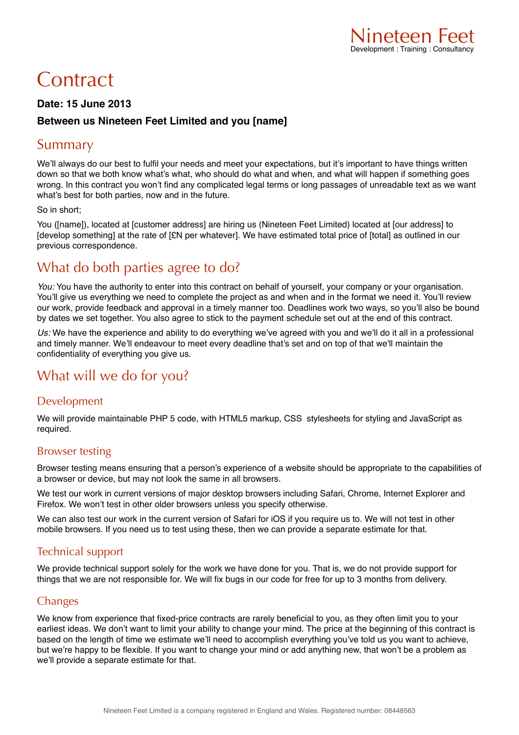# **Contract**

#### **Date: 15 June 2013**

#### **Between us Nineteen Feet Limited and you [name]**

### Summary

We'll always do our best to fulfil your needs and meet your expectations, but it's important to have things written down so that we both know what's what, who should do what and when, and what will happen if something goes wrong. In this contract you won't find any complicated legal terms or long passages of unreadable text as we want what's best for both parties, now and in the future.

#### So in short;

You ([name]), located at [customer address] are hiring us (Nineteen Feet Limited) located at [our address] to [develop something] at the rate of [£N per whatever]. We have estimated total price of [total] as outlined in our previous correspondence.

# What do both parties agree to do?

*You:* You have the authority to enter into this contract on behalf of yourself, your company or your organisation. You'll give us everything we need to complete the project as and when and in the format we need it. You'll review our work, provide feedback and approval in a timely manner too. Deadlines work two ways, so you'll also be bound by dates we set together. You also agree to stick to the payment schedule set out at the end of this contract.

*Us:* We have the experience and ability to do everything we've agreed with you and we'll do it all in a professional and timely manner. We'll endeavour to meet every deadline that's set and on top of that we'll maintain the confidentiality of everything you give us.

# What will we do for you?

#### Development

We will provide maintainable PHP 5 code, with HTML5 markup, CSS stylesheets for styling and JavaScript as required.

#### Browser testing

Browser testing means ensuring that a person's experience of a website should be appropriate to the capabilities of a browser or device, but may not look the same in all browsers.

We test our work in current versions of major desktop browsers including Safari, Chrome, Internet Explorer and Firefox. We won't test in other older browsers unless you specify otherwise.

We can also test our work in the current version of Safari for iOS if you require us to. We will not test in other mobile browsers. If you need us to test using these, then we can provide a separate estimate for that.

#### Technical support

We provide technical support solely for the work we have done for you. That is, we do not provide support for things that we are not responsible for. We will fix bugs in our code for free for up to 3 months from delivery.

#### **Changes**

We know from experience that fixed-price contracts are rarely beneficial to you, as they often limit you to your earliest ideas. We don't want to limit your ability to change your mind. The price at the beginning of this contract is based on the length of time we estimate we'll need to accomplish everything you've told us you want to achieve, but we're happy to be flexible. If you want to change your mind or add anything new, that won't be a problem as we'll provide a separate estimate for that.